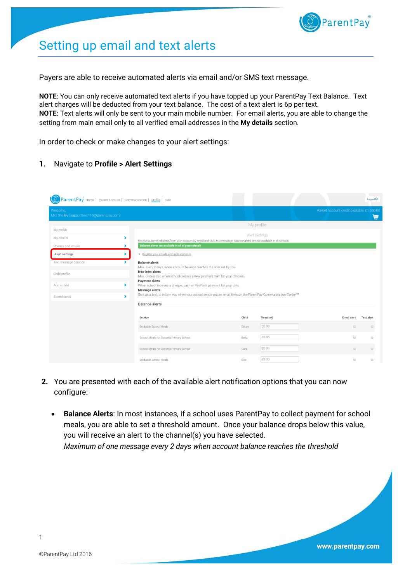

# Setting up email and text alerts

Payers are able to receive automated alerts via email and/or SMS text message.

**NOTE**: You can only receive automated text alerts if you have topped up your ParentPay Text Balance. Text alert charges will be deducted from your text balance. The cost of a text alert is 6p per text. **NOTE**: Text alerts will only be sent to your main mobile number. For email alerts, you are able to change the setting from main email only to all verified email addresses in the **My details** section.

In order to check or make changes to your alert settings:

#### **1.** Navigate to **Profile > Alert Settings**

| ParentPay Home   Parent Account   Communication   Profile   Help |                                                                                                                                         |       |                |                                             | Logout $\mathbb{C}^*$                       |
|------------------------------------------------------------------|-----------------------------------------------------------------------------------------------------------------------------------------|-------|----------------|---------------------------------------------|---------------------------------------------|
| Welcome,<br>Mrs Shelley (supporttest110@parentpay.com)           |                                                                                                                                         |       |                | Parent Account credit available: £1,550.00  | 烏                                           |
| My profile                                                       |                                                                                                                                         |       | My profile     |                                             |                                             |
| ><br>My details                                                  | Receive automated alerts from your account by email and SMS text message. Balance alerts are not available in all schools.              |       | Alert settings |                                             |                                             |
| Phones and emails<br>$\blacktriangleright$<br>Alert settings     | Balance alerts are available in all of your schools<br>· Register your emails and mobile phones                                         |       |                |                                             |                                             |
| Text message balance                                             | <b>Balance alerts</b><br>Max. every 2 days, when account balance reaches the level set by you.                                          |       |                |                                             |                                             |
| Child profile                                                    | New item alerts<br>Max. once a day, when school creates a new payment item for your children.                                           |       |                |                                             |                                             |
| ×.<br>Add a child                                                | <b>Payment alerts</b><br>When school receives a cheque, cash or PayPoint payment for your child.<br>Message alerts                      |       |                |                                             |                                             |
| $\blacktriangleright$<br>Stored cards                            | Sent as a text, to inform you when your school sends you an email through the ParentPay Communication Centre™.<br><b>Balance alerts</b> |       |                |                                             |                                             |
|                                                                  |                                                                                                                                         |       |                |                                             |                                             |
|                                                                  | Service                                                                                                                                 | Child | Threshold      | Email alert                                 | <b>Text alert</b>                           |
|                                                                  | Bookable School Meals                                                                                                                   | Ethan | £0.00          | $\qquad \qquad \Box$                        | $\qquad \qquad \boxdot$                     |
|                                                                  | School Meals for Oceania Primary School                                                                                                 | Bella | £0.00          | $\qquad \qquad \Box$                        | $\qquad \qquad \Box$                        |
|                                                                  | School Meals for Oceania Primary School                                                                                                 | Cara  | £0.00          | $\qquad \qquad \qquad \qquad \qquad \qquad$ | $\qquad \qquad \qquad \qquad \qquad \qquad$ |
|                                                                  | Bookable School Meals                                                                                                                   | Ellie | £0.00          | $\qquad \qquad \Box$                        |                                             |

- **2.** You are presented with each of the available alert notification options that you can now configure:
	- **Balance Alerts**: In most instances, if a school uses ParentPay to collect payment for school meals, you are able to set a threshold amount. Once your balance drops below this value, you will receive an alert to the channel(s) you have selected. *Maximum of one message every 2 days when account balance reaches the threshold*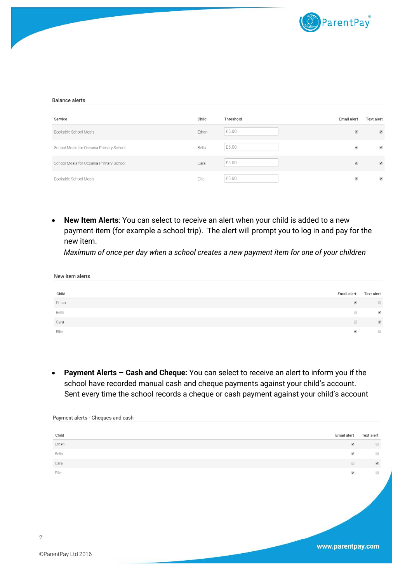

#### **Balance alerts**

| Service                                 | Child | Threshold | Email alert              | <b>Text alert</b>        |
|-----------------------------------------|-------|-----------|--------------------------|--------------------------|
| Bookable School Meals                   | Ethan | £5.00     | $\overline{\mathcal{L}}$ | $\blacktriangleleft$     |
| School Meals for Oceania Primary School | Bella | £5.00     | $\blacktriangledown$     | $\blacktriangledown$     |
| School Meals for Oceania Primary School | Cara  | £5.00     | $\blacktriangleleft$     | $\blacktriangleleft$     |
| Bookable School Meals                   | Ellie | £5.00     | $\blacklozenge$          | $\overline{\mathcal{L}}$ |

 **New Item Alerts**: You can select to receive an alert when your child is added to a new payment item (for example a school trip). The alert will prompt you to log in and pay for the new item.

*Maximum of once per day when a school creates a new payment item for one of your children*

| New item alerts |                      |                          |
|-----------------|----------------------|--------------------------|
|                 |                      |                          |
| Child           | Email alert          | <b>Text alert</b>        |
| Ethan           | $\blacktriangledown$ | $\Box$                   |
| Bella           | $\Box$               | $\blacktriangledown$     |
| Cara            | $\Box$               | $\overline{\mathcal{L}}$ |
| Ellie           | $\blacktriangledown$ | $\qquad \qquad \Box$     |

 **Payment Alerts – Cash and Cheque:** You can select to receive an alert to inform you if the school have recorded manual cash and cheque payments against your child's account. Sent every time the school records a cheque or cash payment against your child's account

| Child | Email alert          | Text alert           |
|-------|----------------------|----------------------|
| Ethan | $\blacktriangledown$ | $\Box$               |
| Bella | $\blacktriangledown$ | $\Box$               |
| Cara  | $\hfill \square$     | $\blacktriangledown$ |
| Ellie | $\blacktriangledown$ | $\Box$               |
| .     | www.parentpay.com    |                      |

Payment alerts - Cheques and cash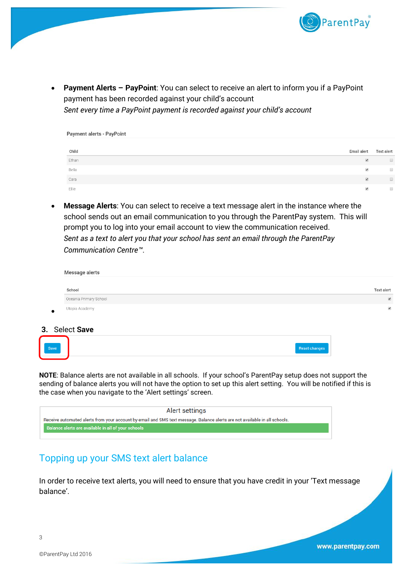

 **Payment Alerts – PayPoint**: You can select to receive an alert to inform you if a PayPoint payment has been recorded against your child's account *Sent every time a PayPoint payment is recorded against your child's account*

| Child | Email alert              | Text alert |
|-------|--------------------------|------------|
| Ethan | $\overline{\mathcal{L}}$ | $\Box$     |
| Bella | $\blacktriangledown$     | $\Box$     |
| Cara  | $\blacktriangleleft$     | $\Box$     |
| Ellie | $\blacktriangledown$     | $\Box$     |

 **Message Alerts**: You can select to receive a text message alert in the instance where the school sends out an email communication to you through the ParentPay system. This will prompt you to log into your email account to view the communication received. *Sent as a text to alert you that your school has sent an email through the ParentPay Communication Centre™*.

| Message alerts         |                          |
|------------------------|--------------------------|
| School                 | Text alert               |
| Oceania Primary School | $\overline{\mathcal{L}}$ |
| Utopia Academy         | $\blacktriangledown$     |
|                        |                          |

#### **3.** Select **Save**

Payment alerts - PayPoint

 $\bullet$ 

| Reset changes |
|---------------|
|               |

**NOTE**: Balance alerts are not available in all schools. If your school's ParentPay setup does not support the sending of balance alerts you will not have the option to set up this alert setting. You will be notified if this is the case when you navigate to the 'Alert settings' screen.

| Alert settings                                                                                                             |
|----------------------------------------------------------------------------------------------------------------------------|
| Receive automated alerts from your account by email and SMS text message. Balance alerts are not available in all schools. |
| Balance alerts are available in all of your schools                                                                        |
|                                                                                                                            |

## Topping up your SMS text alert balance

In order to receive text alerts, you will need to ensure that you have credit in your 'Text message balance'.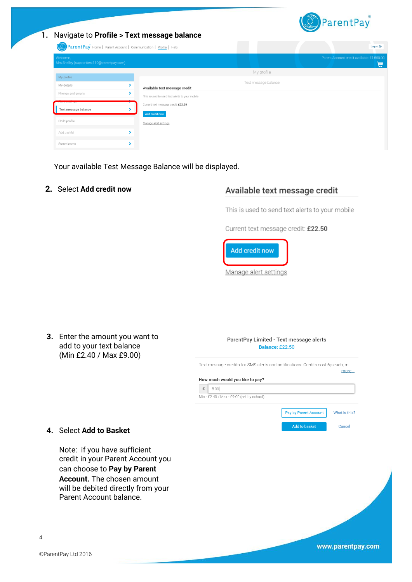

**1.** Navigate to **Profile > Text message balance**

ParentPay<sup>®</sup> Home | Parent Account | Communication | Profile | Help My profile My profile Text message halance My details  $\overline{\phantom{a}}$ Available text message credit Phones and emails  $\overline{\mathbf{z}}$ This is used to send text alerts to your mobile Current text message credit: £22.50 Text message balance  $\overline{\phantom{a}}$ **Add credit now** Child profile Manage alert settings Add a child  $\blacktriangleright$  $\overline{\phantom{a}}$ Stored cards

Your available Test Message Balance will be displayed.

**2.** Select **Add credit now**

### Available text message credit

This is used to send text alerts to your mobile

Current text message credit: £22.50





www.parentpay.com